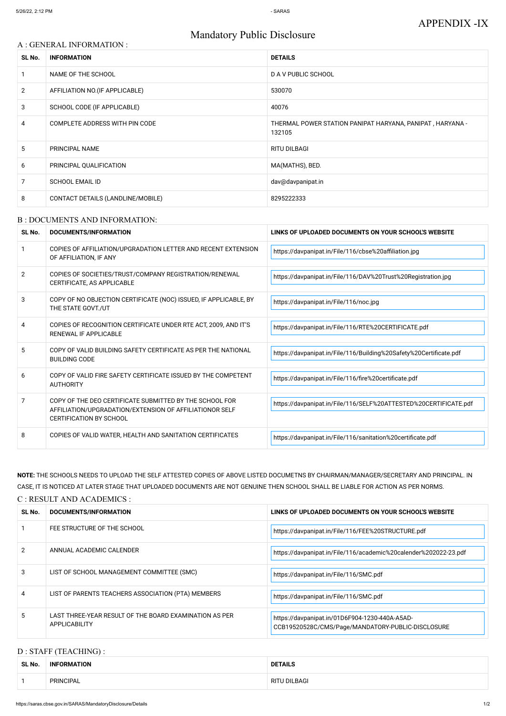# Mandatory Public Disclosure

## A : GENERAL INFORMATION :

| SL No.         | <b>INFORMATION</b>                | <b>DETAILS</b>                                                      |
|----------------|-----------------------------------|---------------------------------------------------------------------|
|                | NAME OF THE SCHOOL                | <b>DAV PUBLIC SCHOOL</b>                                            |
| $\overline{2}$ | AFFILIATION NO. (IF APPLICABLE)   | 530070                                                              |
| 3              | SCHOOL CODE (IF APPLICABLE)       | 40076                                                               |
| 4              | COMPLETE ADDRESS WITH PIN CODE    | THERMAL POWER STATION PANIPAT HARYANA, PANIPAT, HARYANA -<br>132105 |
| 5              | PRINCIPAL NAME                    | <b>RITU DILBAGI</b>                                                 |
| 6              | PRINCIPAL QUALIFICATION           | MA(MATHS), BED.                                                     |
| 7              | <b>SCHOOL EMAIL ID</b>            | dav@davpanipat.in                                                   |
| 8              | CONTACT DETAILS (LANDLINE/MOBILE) | 8295222333                                                          |

#### B : DOCUMENTS AND INFORMATION:

| SL No. | <b>DOCUMENTS/INFORMATION</b>                                                                                                                  | LINKS OF UPLOADED DOCUMENTS ON YOUR SCHOOL'S WEBSITE               |  |
|--------|-----------------------------------------------------------------------------------------------------------------------------------------------|--------------------------------------------------------------------|--|
|        | COPIES OF AFFILIATION/UPGRADATION LETTER AND RECENT EXTENSION<br>OF AFFILIATION, IF ANY                                                       | https://davpanipat.in/File/116/cbse%20affiliation.jpg              |  |
| 2      | COPIES OF SOCIETIES/TRUST/COMPANY REGISTRATION/RENEWAL<br>CERTIFICATE, AS APPLICABLE                                                          | https://davpanipat.in/File/116/DAV%20Trust%20Registration.jpg      |  |
| 3      | COPY OF NO OBJECTION CERTIFICATE (NOC) ISSUED, IF APPLICABLE, BY<br>THE STATE GOVT./UT                                                        | https://davpanipat.in/File/116/noc.jpg                             |  |
| 4      | COPIES OF RECOGNITION CERTIFICATE UNDER RTE ACT, 2009, AND IT'S<br><b>RENEWAL IF APPLICABLE</b>                                               | https://davpanipat.in/File/116/RTE%20CERTIFICATE.pdf               |  |
| 5      | COPY OF VALID BUILDING SAFETY CERTIFICATE AS PER THE NATIONAL<br><b>BUILDING CODE</b>                                                         | https://davpanipat.in/File/116/Building%20Safety%20Certificate.pdf |  |
| 6      | COPY OF VALID FIRE SAFETY CERTIFICATE ISSUED BY THE COMPETENT<br><b>AUTHORITY</b>                                                             | https://davpanipat.in/File/116/fire%20certificate.pdf              |  |
| 7      | COPY OF THE DEO CERTIFICATE SUBMITTED BY THE SCHOOL FOR<br>AFFILIATION/UPGRADATION/EXTENSION OF AFFILIATIONOR SELF<br>CERTIFICATION BY SCHOOL | https://davpanipat.in/File/116/SELF%20ATTESTED%20CERTIFICATE.pdf   |  |
| 8      | COPIES OF VALID WATER, HEALTH AND SANITATION CERTIFICATES                                                                                     | https://davpanipat.in/File/116/sanitation%20certificate.pdf        |  |

| 2              | ANNUAL ACADEMIC CALENDER                                                       | https://davpanipat.in/File/116/academic%20calender%202022-23.pdf                                    |
|----------------|--------------------------------------------------------------------------------|-----------------------------------------------------------------------------------------------------|
| 3              | LIST OF SCHOOL MANAGEMENT COMMITTEE (SMC)                                      | https://davpanipat.in/File/116/SMC.pdf                                                              |
| $\overline{4}$ | LIST OF PARENTS TEACHERS ASSOCIATION (PTA) MEMBERS                             | https://davpanipat.in/File/116/SMC.pdf                                                              |
| 5              | LAST THREE-YEAR RESULT OF THE BOARD EXAMINATION AS PER<br><b>APPLICABILITY</b> | https://davpanipat.in/01D6F904-1230-440A-A5AD-<br>CCB19520528C/CMS/Page/MANDATORY-PUBLIC-DISCLOSURE |

**NOTE:** THE SCHOOLS NEEDS TO UPLOAD THE SELF ATTESTED COPIES OF ABOVE LISTED DOCUMETNS BY CHAIRMAN/MANAGER/SECRETARY AND PRINCIPAL. IN CASE, IT IS NOTICED AT LATER STAGE THAT UPLOADED DOCUMENTS ARE NOT GENUINE THEN SCHOOL SHALL BE LIABLE FOR ACTION AS PER NORMS.

| C: RESULT AND ACADEMICS:        |  |                             |                                                      |  |
|---------------------------------|--|-----------------------------|------------------------------------------------------|--|
| DOCUMENTS/INFORMATION<br>SL No. |  |                             | LINKS OF UPLOADED DOCUMENTS ON YOUR SCHOOL'S WEBSITE |  |
|                                 |  | FEE STRUCTURE OF THE SCHOOL | https://davpanipat.in/File/116/FEE%20STRUCTURE.pdf   |  |

## D : STAFF (TEACHING) :

| SL No. | <b>INFORMATION</b> | <b>DETAILS</b> |
|--------|--------------------|----------------|
|        | <b>PRINCIPAL</b>   | RITU DILBAGI   |